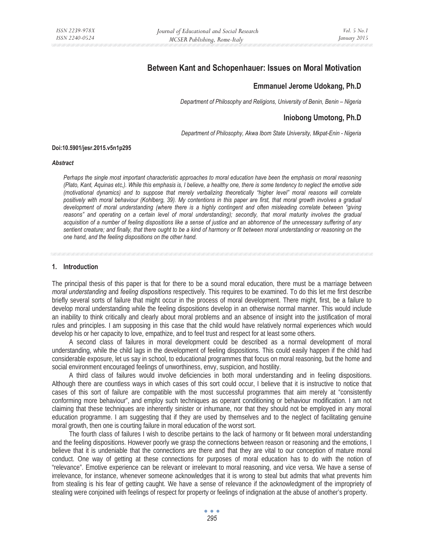# **Between Kant and Schopenhauer: Issues on Moral Motivation**

## **Emmanuel Jerome Udokang, Ph.D**

*Department of Philosophy and Religions, University of Benin, Benin – Nigeria* 

## **Iniobong Umotong, Ph.D**

*Department of Philosophy, Akwa Ibom State University, Mkpat-Enin - Nigeria* 

#### **Doi:10.5901/jesr.2015.v5n1p295**

#### *Abstract*

*Perhaps the single most important characteristic approaches to moral education have been the emphasis on moral reasoning (Plato, Kant, Aquinas etc,). While this emphasis is, I believe, a healthy one, there is some tendency to neglect the emotive side (motivational dynamics) and to suppose that merely verbalizing theoretically "higher level" moral reasons will correlate positively with moral behaviour (Kohlberg, 39). My contentions in this paper are first, that moral growth involves a gradual*  development of moral understanding (where there is a highly contingent and often misleading correlate between "giving reasons" and operating on a certain level of moral understanding); secondly, that moral maturity involves the gradual *acquisition of a number of feeling dispositions like a sense of justice and an abhorrence of the unnecessary suffering of any sentient creature; and finally, that there ought to be a kind of harmony or fit between moral understanding or reasoning on the one hand, and the feeling dispositions on the other hand.* 

#### **1. Introduction**

The principal thesis of this paper is that for there to be a sound moral education, there must be a marriage between *moral understanding* and *feeling dispositions* respectively. This requires to be examined. To do this let me first describe briefly several sorts of failure that might occur in the process of moral development. There might, first, be a failure to develop moral understanding while the feeling dispositions develop in an otherwise normal manner. This would include an inability to think critically and clearly about moral problems and an absence of insight into the justification of moral rules and principles. I am supposing in this case that the child would have relatively normal experiences which would develop his or her capacity to love, empathize, and to feel trust and respect for at least some others.

A second class of failures in moral development could be described as a normal development of moral understanding, while the child lags in the development of feeling dispositions. This could easily happen if the child had considerable exposure, let us say in school, to educational programmes that focus on moral reasoning, but the home and social environment encouraged feelings of unworthiness, envy, suspicion, and hostility.

A third class of failures would involve deficiencies in both moral understanding and in feeling dispositions. Although there are countless ways in which cases of this sort could occur, I believe that it is instructive to notice that cases of this sort of failure are compatible with the most successful programmes that aim merely at "consistently conforming more behaviour", and employ such techniques as operant conditioning or behaviour modification. I am not claiming that these techniques are inherently sinister or inhumane, nor that they should not be employed in any moral education programme. I am suggesting that if they are used by themselves and to the neglect of facilitating genuine moral growth, then one is courting failure in moral education of the worst sort.

The fourth class of failures I wish to describe pertains to the lack of harmony or fit between moral understanding and the feeling dispositions. However poorly we grasp the connections between reason or reasoning and the emotions, I believe that it is undeniable that the connections are there and that they are vital to our conception of mature moral conduct. One way of getting at these connections for purposes of moral education has to do with the notion of "relevance". Emotive experience can be relevant or irrelevant to moral reasoning, and vice versa. We have a sense of irrelevance, for instance, whenever someone acknowledges that it is wrong to steal but admits that what prevents him from stealing is his fear of getting caught. We have a sense of relevance if the acknowledgment of the impropriety of stealing were conjoined with feelings of respect for property or feelings of indignation at the abuse of another's property.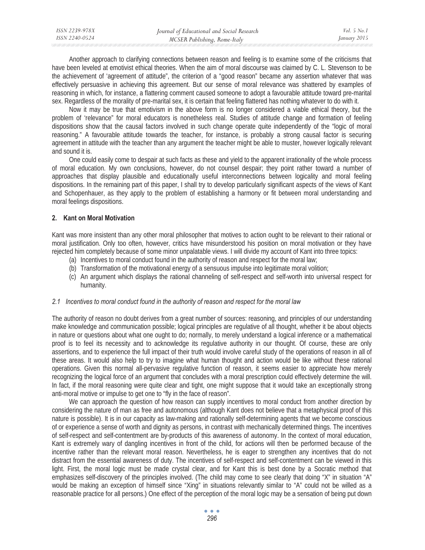| ISSN 2239-978X | Journal of Educational and Social Research | <i>Vol.</i> 5 $No.$ |
|----------------|--------------------------------------------|---------------------|
| ISSN 2240-0524 | MCSER Publishing, Rome-Italy               | January 2015        |

Another approach to clarifying connections between reason and feeling is to examine some of the criticisms that have been leveled at emotivist ethical theories. When the aim of moral discourse was claimed by C. L. Stevenson to be the achievement of 'agreement of attitude", the criterion of a "good reason" became any assertion whatever that was effectively persuasive in achieving this agreement. But our sense of moral relevance was shattered by examples of reasoning in which, for instance, a flattering comment caused someone to adopt a favourable attitude toward pre-marital sex. Regardless of the morality of pre-marital sex, it is certain that feeling flattered has nothing whatever to do with it.

Now it may be true that emotivism in the above form is no longer considered a viable ethical theory, but the problem of 'relevance" for moral educators is nonetheless real. Studies of attitude change and formation of feeling dispositions show that the causal factors involved in such change operate quite independently of the "logic of moral reasoning." A favourable attitude towards the teacher, for instance, is probably a strong causal factor is securing agreement in attitude with the teacher than any argument the teacher might be able to muster, however logically relevant and sound it is.

One could easily come to despair at such facts as these and yield to the apparent irrationality of the whole process of moral education. My own conclusions, however, do not counsel despair; they point rather toward a number of approaches that display plausible and educationally useful interconnections between logicality and moral feeling dispositions. In the remaining part of this paper, I shall try to develop particularly significant aspects of the views of Kant and Schopenhauer, as they apply to the problem of establishing a harmony or fit between moral understanding and moral feelings dispositions.

#### **2. Kant on Moral Motivation**

Kant was more insistent than any other moral philosopher that motives to action ought to be relevant to their rational or moral justification. Only too often, however, critics have misunderstood his position on moral motivation or they have rejected him completely because of some minor unpalatable views. I will divide my account of Kant into three topics:

- (a) Incentives to moral conduct found in the authority of reason and respect for the moral law;
- (b) Transformation of the motivational energy of a sensuous impulse into legitimate moral volition;
- (c) An argument which displays the rational channeling of self-respect and self-worth into universal respect for humanity.

#### *2.1 Incentives to moral conduct found in the authority of reason and respect for the moral law*

The authority of reason no doubt derives from a great number of sources: reasoning, and principles of our understanding make knowledge and communication possible; logical principles are regulative of all thought, whether it be about objects in nature or questions about what one ought to do; normally, to merely understand a logical inference or a mathematical proof is to feel its necessity and to acknowledge its regulative authority in our thought. Of course, these are only assertions, and to experience the full impact of their truth would involve careful study of the operations of reason in all of these areas. It would also help to try to imagine what human thought and action would be like without these rational operations. Given this normal all-pervasive regulative function of reason, it seems easier to appreciate how merely recognizing the logical force of an argument that concludes with a moral prescription could effectively determine the will. In fact, if the moral reasoning were quite clear and tight, one might suppose that it would take an exceptionally strong anti-moral motive or impulse to get one to "fly in the face of reason".

We can approach the question of how reason can supply incentives to moral conduct from another direction by considering the nature of man as free and autonomous (although Kant does not believe that a metaphysical proof of this nature is possible). It is in our capacity as law-making and rationally self-determining agents that we become conscious of or experience a sense of worth and dignity as persons, in contrast with mechanically determined things. The incentives of self-respect and self-contentment are by-products of this awareness of autonomy. In the context of moral education, Kant is extremely wary of dangling incentives in front of the child, for actions will then be performed because of the incentive rather than the relevant moral reason. Nevertheless, he is eager to strengthen any incentives that do not distract from the essential awareness of duty. The incentives of self-respect and self-contentment can be viewed in this light. First, the moral logic must be made crystal clear, and for Kant this is best done by a Socratic method that emphasizes self-discovery of the principles involved. (The child may come to see clearly that doing "X" in situation "A" would be making an exception of himself since "Xing" in situations relevantly similar to "A" could not be willed as a reasonable practice for all persons.) One effect of the perception of the moral logic may be a sensation of being put down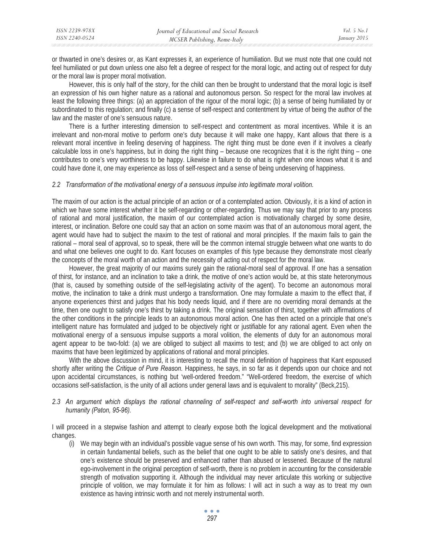or thwarted in one's desires or, as Kant expresses it, an experience of humiliation. But we must note that one could not feel humiliated or put down unless one also felt a degree of respect for the moral logic, and acting out of respect for duty or the moral law is proper moral motivation.

However, this is only half of the story, for the child can then be brought to understand that the moral logic is itself an expression of his own higher nature as a rational and autonomous person. So respect for the moral law involves at least the following three things: (a) an appreciation of the rigour of the moral logic; (b) a sense of being humiliated by or subordinated to this regulation; and finally (c) a sense of self-respect and contentment by virtue of being the author of the law and the master of one's sensuous nature.

There is a further interesting dimension to self-respect and contentment as moral incentives. While it is an irrelevant and non-moral motive to perform one's duty because it will make one happy, Kant allows that there is a relevant moral incentive in feeling deserving of happiness. The right thing must be done even if it involves a clearly calculable loss in one's happiness, but in doing the right thing – because one recognizes that it is the right thing – one contributes to one's very worthiness to be happy. Likewise in failure to do what is right when one knows what it is and could have done it, one may experience as loss of self-respect and a sense of being undeserving of happiness.

### *2.2 Transformation of the motivational energy of a sensuous impulse into legitimate moral volition.*

The maxim of our action is the actual principle of an action or of a contemplated action. Obviously, it is a kind of action in which we have some interest whether it be self-regarding or other-regarding. Thus we may say that prior to any process of rational and moral justification, the maxim of our contemplated action is motivationally charged by some desire, interest, or inclination. Before one could say that an action on some maxim was that of an autonomous moral agent, the agent would have had to subject the maxim to the test of rational and moral principles. If the maxim fails to gain the rational – moral seal of approval, so to speak, there will be the common internal struggle between what one wants to do and what one believes one ought to do. Kant focuses on examples of this type because they demonstrate most clearly the concepts of the moral worth of an action and the necessity of acting out of respect for the moral law.

However, the great majority of our maxims surely gain the rational-moral seal of approval. If one has a sensation of thirst, for instance, and an inclination to take a drink, the motive of one's action would be, at this state heteronymous (that is, caused by something outside of the self-legislating activity of the agent). To become an autonomous moral motive, the inclination to take a drink must undergo a transformation. One may formulate a maxim to the effect that, if anyone experiences thirst and judges that his body needs liquid, and if there are no overriding moral demands at the time, then one ought to satisfy one's thirst by taking a drink. The original sensation of thirst, together with affirmations of the other conditions in the principle leads to an autonomous moral action. One has then acted on a principle that one's intelligent nature has formulated and judged to be objectively right or justifiable for any rational agent. Even when the motivational energy of a sensuous impulse supports a moral volition, the elements of duty for an autonomous moral agent appear to be two-fold: (a) we are obliged to subject all maxims to test; and (b) we are obliged to act only on maxims that have been legitimized by applications of rational and moral principles.

With the above discussion in mind, it is interesting to recall the moral definition of happiness that Kant espoused shortly after writing the *Critique of Pure Reason.* Happiness, he says, in so far as it depends upon our choice and not upon accidental circumstances, is nothing but 'well-ordered freedom." "Well-ordered freedom, the exercise of which occasions self-satisfaction, is the unity of all actions under general laws and is equivalent to morality" (Beck,215).

### *2.3 An argument which displays the rational channeling of self-respect and self-worth into universal respect for humanity (Paton, 95-96).*

I will proceed in a stepwise fashion and attempt to clearly expose both the logical development and the motivational changes.

(i) We may begin with an individual's possible vague sense of his own worth. This may, for some, find expression in certain fundamental beliefs, such as the belief that one ought to be able to satisfy one's desires, and that one's existence should be preserved and enhanced rather than abused or lessened. Because of the natural ego-involvement in the original perception of self-worth, there is no problem in accounting for the considerable strength of motivation supporting it. Although the individual may never articulate this working or subjective principle of volition, we may formulate it for him as follows: I will act in such a way as to treat my own existence as having intrinsic worth and not merely instrumental worth.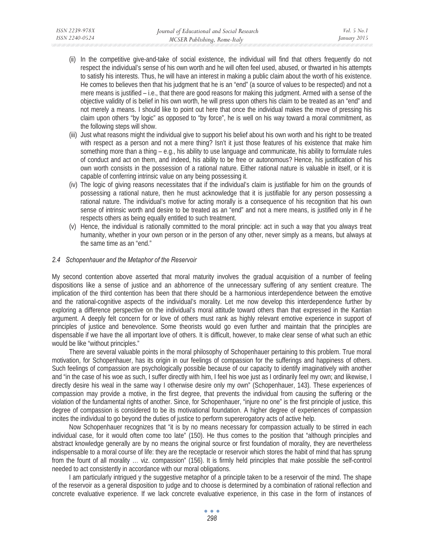- (ii) In the competitive give-and-take of social existence, the individual will find that others frequently do not respect the individual's sense of his own worth and he will often feel used, abused, or thwarted in his attempts to satisfy his interests. Thus, he will have an interest in making a public claim about the worth of his existence. He comes to believes then that his judgment that he is an "end" (a source of values to be respected) and not a mere means is justified – i.e., that there are good reasons for making this judgment. Armed with a sense of the objective validity of is belief in his own worth, he will press upon others his claim to be treated as an "end" and not merely a means. I should like to point out here that once the individual makes the move of pressing his claim upon others "by logic" as opposed to "by force", he is well on his way toward a moral commitment, as the following steps will show.
- (iii) Just what reasons might the individual give to support his belief about his own worth and his right to be treated with respect as a person and not a mere thing? Isn't it just those features of his existence that make him something more than a thing – e.g., his ability to use language and communicate, his ability to formulate rules of conduct and act on them, and indeed, his ability to be free or autonomous? Hence, his justification of his own worth consists in the possession of a rational nature. Either rational nature is valuable in itself, or it is capable of conferring intrinsic value on any being possessing it.
- (iv) The logic of giving reasons necessitates that if the individual's claim is justifiable for him on the grounds of possessing a rational nature, then he must acknowledge that it is justifiable for any person possessing a rational nature. The individual's motive for acting morally is a consequence of his recognition that his own sense of intrinsic worth and desire to be treated as an "end" and not a mere means, is justified only in if he respects others as being equally entitled to such treatment.
- (v) Hence, the individual is rationally committed to the moral principle: act in such a way that you always treat humanity, whether in your own person or in the person of any other, never simply as a means, but always at the same time as an "end."

### *2.4 Schopenhauer and the Metaphor of the Reservoir*

My second contention above asserted that moral maturity involves the gradual acquisition of a number of feeling dispositions like a sense of justice and an abhorrence of the unnecessary suffering of any sentient creature. The implication of the third contention has been that there should be a harmonious interdependence between the emotive and the rational-cognitive aspects of the individual's morality. Let me now develop this interdependence further by exploring a difference perspective on the individual's moral attitude toward others than that expressed in the Kantian argument. A deeply felt concern for or love of others must rank as highly relevant emotive experience in support of principles of justice and benevolence. Some theorists would go even further and maintain that the principles are dispensable if we have the all important love of others. It is difficult, however, to make clear sense of what such an ethic would be like "without principles."

There are several valuable points in the moral philosophy of Schopenhauer pertaining to this problem. True moral motivation, for Schopenhauer, has its origin in our feelings of compassion for the sufferings and happiness of others. Such feelings of compassion are psychologically possible because of our capacity to identify imaginatively with another and "in the case of his woe as such, I suffer directly with him, I feel his woe just as I ordinarily feel my own; and likewise, I directly desire his weal in the same way I otherwise desire only my own" (Schopenhauer, 143). These experiences of compassion may provide a motive, in the first degree, that prevents the individual from causing the suffering or the violation of the fundamental rights of another. Since, for Schopenhauer, "injure no one" is the first principle of justice, this degree of compassion is considered to be its motivational foundation. A higher degree of experiences of compassion incites the individual to go beyond the duties of justice to perform supererogatory acts of active help.

Now Schopenhauer recognizes that "it is by no means necessary for compassion actually to be stirred in each individual case, for it would often come too late" (150). He thus comes to the position that "although principles and abstract knowledge generally are by no means the original source or first foundation of morality, they are nevertheless indispensable to a moral course of life: they are the receptacle or reservoir which stores the habit of mind that has sprung from the fount of all morality … viz. compassion" (156). It is firmly held principles that make possible the self-control needed to act consistently in accordance with our moral obligations.

I am particularly intrigued y the suggestive metaphor of a principle taken to be a reservoir of the mind. The shape of the reservoir as a general disposition to judge and to choose is determined by a combination of rational reflection and concrete evaluative experience. If we lack concrete evaluative experience, in this case in the form of instances of